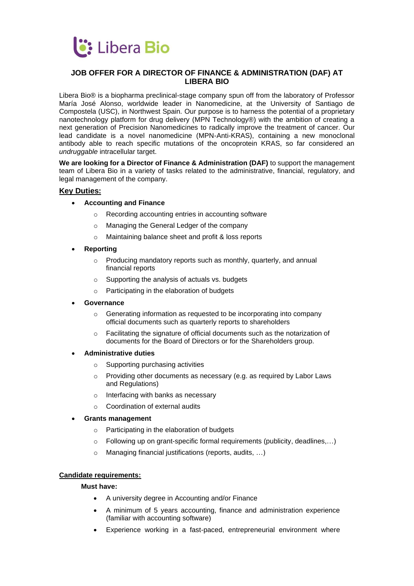

# **JOB OFFER FOR A DIRECTOR OF FINANCE & ADMINISTRATION (DAF) AT LIBERA BIO**

Libera Bio® is a biopharma preclinical-stage company spun off from the laboratory of Professor María José Alonso, worldwide leader in Nanomedicine, at the University of Santiago de Compostela (USC), in Northwest Spain. Our purpose is to harness the potential of a proprietary nanotechnology platform for drug delivery (MPN Technology®) with the ambition of creating a next generation of Precision Nanomedicines to radically improve the treatment of cancer. Our lead candidate is a novel nanomedicine (MPN-Anti-KRAS), containing a new monoclonal antibody able to reach specific mutations of the oncoprotein KRAS, so far considered an *undruggable* intracellular target.

**We are looking for a Director of Finance & Administration (DAF)** to support the management team of Libera Bio in a variety of tasks related to the administrative, financial, regulatory, and legal management of the company.

## **Key Duties:**

- **Accounting and Finance**
	- o Recording accounting entries in accounting software
	- o Managing the General Ledger of the company
	- o Maintaining balance sheet and profit & loss reports
- **Reporting**
	- o Producing mandatory reports such as monthly, quarterly, and annual financial reports
	- $\circ$  Supporting the analysis of actuals vs. budgets
	- o Participating in the elaboration of budgets
- **Governance**
	- o Generating information as requested to be incorporating into company official documents such as quarterly reports to shareholders
	- o Facilitating the signature of official documents such as the notarization of documents for the Board of Directors or for the Shareholders group.
- **Administrative duties**
	- o Supporting purchasing activities
	- o Providing other documents as necessary (e.g. as required by Labor Laws and Regulations)
	- o Interfacing with banks as necessary
	- o Coordination of external audits
- **Grants management**
	- o Participating in the elaboration of budgets
	- o Following up on grant-specific formal requirements (publicity, deadlines,…)
	- o Managing financial justifications (reports, audits, …)

## **Candidate requirements:**

#### **Must have:**

- A university degree in Accounting and/or Finance
- A minimum of 5 years accounting, finance and administration experience (familiar with accounting software)
- Experience working in a fast-paced, entrepreneurial environment where